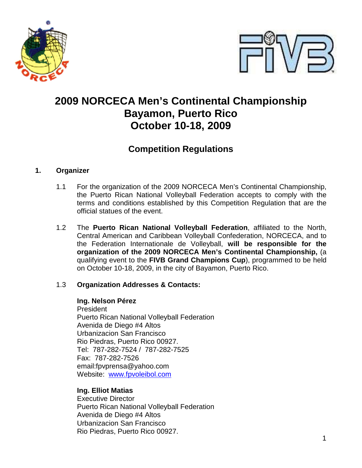



# **2009 NORCECA Men's Continental Championship Bayamon, Puerto Rico October 10-18, 2009**

# **Competition Regulations**

# **1. Organizer**

- 1.1 For the organization of the 2009 NORCECA Men's Continental Championship, the Puerto Rican National Volleyball Federation accepts to comply with the terms and conditions established by this Competition Regulation that are the official statues of the event.
- 1.2 The **Puerto Rican National Volleyball Federation**, affiliated to the North, Central American and Caribbean Volleyball Confederation, NORCECA, and to the Federation Internationale de Volleyball, **will be responsible for the organization of the 2009 NORCECA Men's Continental Championship,** (a qualifying event to the **FIVB Grand Champions Cup**), programmed to be held on October 10-18, 2009, in the city of Bayamon, Puerto Rico.

# 1.3 **Organization Addresses & Contacts:**

# **Ing. Nelson Pérez**

**President** Puerto Rican National Volleyball Federation Avenida de Diego #4 Altos Urbanizacion San Francisco Rio Piedras, Puerto Rico 00927. Tel: 787-282-7524 / 787-282-7525 Fax: 787-282-7526 email:fpvprensa@yahoo.com Website: www.fpvoleibol.com

# **Ing. Elliot Matias**

Executive Director Puerto Rican National Volleyball Federation Avenida de Diego #4 Altos Urbanizacion San Francisco Rio Piedras, Puerto Rico 00927.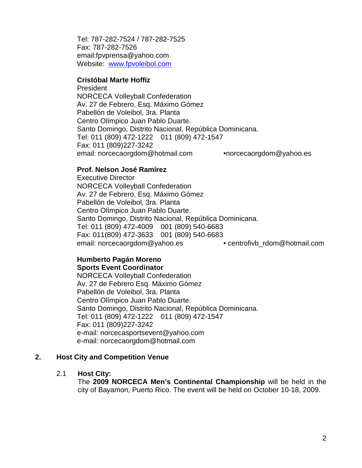Tel: 787-282-7524 / 787-282-7525 Fax: 787-282-7526 email:fpvprensa@yahoo.com Website: www.fpvoleibol.com

#### **Cristóbal Marte Hoffiz**

**President**  NORCECA Volleyball Confederation Av. 27 de Febrero, Esq. Máximo Gómez Pabellón de Voleibol, 3ra. Planta Centro Olímpico Juan Pablo Duarte. Santo Domingo, Distrito Nacional, República Dominicana. Tel: 011 (809) 472-1222 011 (809) 472-1547 Fax: 011 (809)227-3242 email: norcecaorgdom@hotmail.com **•**norcecaorgdom@yahoo.es

#### **Prof. Nelson José Ramírez**

 Executive Director NORCECA Volleyball Confederation Av. 27 de Febrero, Esq. Máximo Gómez Pabellón de Voleibol, 3ra. Planta Centro Olímpico Juan Pablo Duarte. Santo Domingo, Distrito Nacional, República Dominicana. Tel: 011 (809) 472-4009 001 (809) 540-6683 Fax: 011(809) 472-3633 001 (809) 540-6683 email: norcecaorgdom@yahoo.es • centrofivb\_rdom@hotmail.com

# **Humberto Pagán Moreno Sports Event Coordinator**

 NORCECA Volleyball Confederation Av. 27 de Febrero Esq. Máximo Gómez Pabellón de Voleibol, 3ra. Planta Centro Olímpico Juan Pablo Duarte. Santo Domingo, Distrito Nacional, República Dominicana. Tel: 011 (809) 472-1222 011 (809) 472-1547 Fax: 011 (809)227-3242 e-mail: norcecasportsevent@yahoo.com e-mail: norcecaorgdom@hotmail.com

# **2. Host City and Competition Venue**

#### 2.1 **Host City:**

 The **2009 NORCECA Men's Continental Championship** will be held in the city of Bayamon, Puerto Rico. The event will be held on October 10-18, 2009.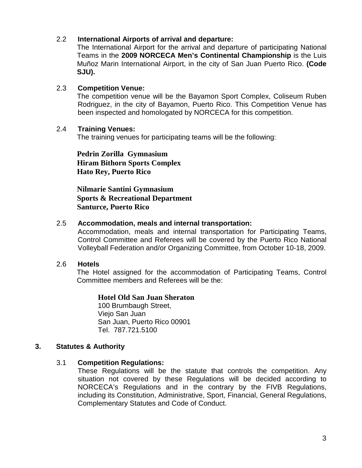# 2.2 **International Airports of arrival and departure:**

The International Airport for the arrival and departure of participating National Teams in the **2009 NORCECA Men's Continental Championship** is the Luis Muñoz Marin International Airport, in the city of San Juan Puerto Rico. **(Code SJU).**

#### 2.3 **Competition Venue:**

The competition venue will be the Bayamon Sport Complex, Coliseum Ruben Rodriguez, in the city of Bayamon, Puerto Rico. This Competition Venue has been inspected and homologated by NORCECA for this competition.

#### 2.4 **Training Venues:**

The training venues for participating teams will be the following:

**Pedrin Zorilla Gymnasium Hiram Bithorn Sports Complex Hato Rey, Puerto Rico** 

**Nilmarie Santini Gymnasium Sports & Recreational Department Santurce, Puerto Rico**

# 2.5 **Accommodation, meals and internal transportation:**

Accommodation, meals and internal transportation for Participating Teams, Control Committee and Referees will be covered by the Puerto Rico National Volleyball Federation and/or Organizing Committee, from October 10-18, 2009.

# 2.6 **Hotels**

The Hotel assigned for the accommodation of Participating Teams, Control Committee members and Referees will be the:

# **Hotel Old San Juan Sheraton**

 100 Brumbaugh Street, Viejo San Juan San Juan, Puerto Rico 00901 Tel. 787.721.5100

# **3. Statutes & Authority**

# 3.1 **Competition Regulations:**

 These Regulations will be the statute that controls the competition. Any situation not covered by these Regulations will be decided according to NORCECA's Regulations and in the contrary by the FIVB Regulations, including its Constitution, Administrative, Sport, Financial, General Regulations, Complementary Statutes and Code of Conduct.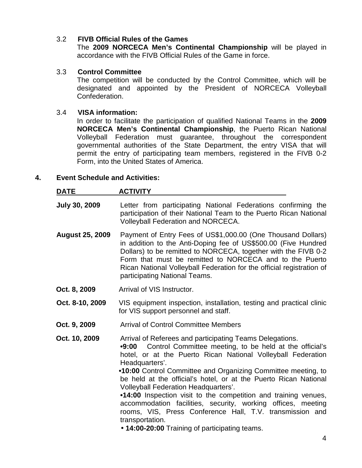# 3.2 **FIVB Official Rules of the Games**

The **2009 NORCECA Men's Continental Championship** will be played in accordance with the FIVB Official Rules of the Game in force.

# 3.3 **Control Committee**

The competition will be conducted by the Control Committee, which will be designated and appointed by the President of NORCECA Volleyball Confederation.

#### 3.4 **VISA information:**

In order to facilitate the participation of qualified National Teams in the **2009 NORCECA Men's Continental Championship**, the Puerto Rican National Volleyball Federation must guarantee, throughout the correspondent governmental authorities of the State Department, the entry VISA that will permit the entry of participating team members, registered in the FIVB 0-2 Form, into the United States of America.

# **4. Event Schedule and Activities:**

| <u>DATE</u>            | <b>ACTIVITY</b>                                                                                                                                                                                                                                                                                                                                                                                                                                                                                                                                                                                                                                                        |  |
|------------------------|------------------------------------------------------------------------------------------------------------------------------------------------------------------------------------------------------------------------------------------------------------------------------------------------------------------------------------------------------------------------------------------------------------------------------------------------------------------------------------------------------------------------------------------------------------------------------------------------------------------------------------------------------------------------|--|
| <b>July 30, 2009</b>   | Letter from participating National Federations confirming the<br>participation of their National Team to the Puerto Rican National<br><b>Volleyball Federation and NORCECA.</b>                                                                                                                                                                                                                                                                                                                                                                                                                                                                                        |  |
| <b>August 25, 2009</b> | Payment of Entry Fees of US\$1,000.00 (One Thousand Dollars)<br>in addition to the Anti-Doping fee of US\$500.00 (Five Hundred<br>Dollars) to be remitted to NORCECA, together with the FIVB 0-2<br>Form that must be remitted to NORCECA and to the Puerto<br>Rican National Volleyball Federation for the official registration of<br>participating National Teams.                                                                                                                                                                                                                                                                                                  |  |
| Oct. 8, 2009           | Arrival of VIS Instructor.                                                                                                                                                                                                                                                                                                                                                                                                                                                                                                                                                                                                                                             |  |
| Oct. 8-10, 2009        | VIS equipment inspection, installation, testing and practical clinic<br>for VIS support personnel and staff.                                                                                                                                                                                                                                                                                                                                                                                                                                                                                                                                                           |  |
| Oct. 9, 2009           | <b>Arrival of Control Committee Members</b>                                                                                                                                                                                                                                                                                                                                                                                                                                                                                                                                                                                                                            |  |
| Oct. 10, 2009          | Arrival of Referees and participating Teams Delegations.<br>Control Committee meeting, to be held at the official's<br>•9:00<br>hotel, or at the Puerto Rican National Volleyball Federation<br>Headquarters'.<br>.10:00 Control Committee and Organizing Committee meeting, to<br>be held at the official's hotel, or at the Puerto Rican National<br><b>Volleyball Federation Headquarters'.</b><br>•14:00 Inspection visit to the competition and training venues,<br>accommodation facilities, security, working offices, meeting<br>rooms, VIS, Press Conference Hall, T.V. transmission and<br>transportation.<br>• 14:00-20:00 Training of participating teams. |  |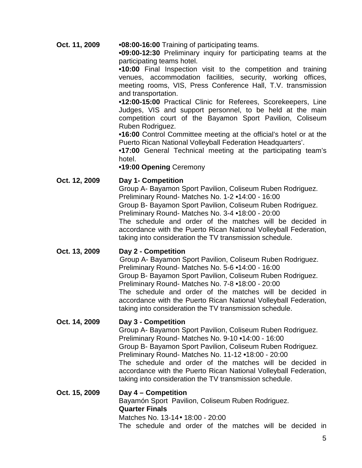**Oct. 11, 2009 •08:00-16:00** Training of participating teams.

**•09:00-12:30** Preliminary inquiry for participating teams at the participating teams hotel.

 **•10:00** Final Inspection visit to the competition and training venues, accommodation facilities, security, working offices, meeting rooms, VIS, Press Conference Hall, T.V. transmission and transportation.

**•12:00-15:00** Practical Clinic for Referees, Scorekeepers, Line Judges, VIS and support personnel, to be held at the main competition court of the Bayamon Sport Pavilion, Coliseum Ruben Rodriguez.

 **•16:00** Control Committee meeting at the official's hotel or at the Puerto Rican National Volleyball Federation Headquarters'.

 **•17:00** General Technical meeting at the participating team's hotel.

# **•19:00 Opening** Ceremony

# **Oct. 12, 2009 Day 1- Competition**

Group A- Bayamon Sport Pavilion, Coliseum Ruben Rodriguez. Preliminary Round- Matches No. 1-2 **•**14:00 - 16:00 Group B- Bayamon Sport Pavilion, Coliseum Ruben Rodriguez. Preliminary Round- Matches No. 3-4 **•**18:00 - 20:00 The schedule and order of the matches will be decided in accordance with the Puerto Rican National Volleyball Federation, taking into consideration the TV transmission schedule.

**Oct. 13, 2009 Day 2 - Competition** Group A- Bayamon Sport Pavilion, Coliseum Ruben Rodriguez. Preliminary Round- Matches No. 5-6 **•**14:00 - 16:00 Group B- Bayamon Sport Pavilion, Coliseum Ruben Rodriguez. Preliminary Round- Matches No. 7-8 **•**18:00 - 20:00 The schedule and order of the matches will be decided in accordance with the Puerto Rican National Volleyball Federation, taking into consideration the TV transmission schedule.

# **Oct. 14, 2009 Day 3 - Competition** Group A- Bayamon Sport Pavilion, Coliseum Ruben Rodriguez. Preliminary Round- Matches No. 9-10 **•**14:00 - 16:00 Group B- Bayamon Sport Pavilion, Coliseum Ruben Rodriguez. Preliminary Round- Matches No. 11-12 **•**18:00 - 20:00 The schedule and order of the matches will be decided in accordance with the Puerto Rican National Volleyball Federation, taking into consideration the TV transmission schedule.

**Oct. 15, 2009 Day 4 – Competition** Bayamón Sport Pavilion, Coliseum Ruben Rodriguez.  **Quarter Finals**  Matches No. 13-14• 18:00 - 20:00 The schedule and order of the matches will be decided in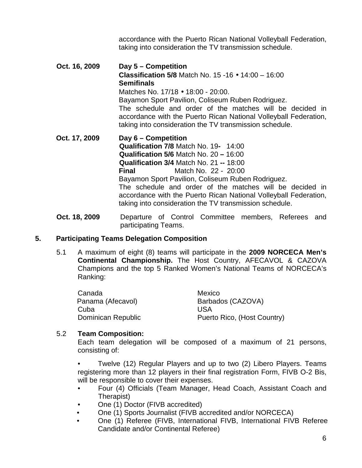accordance with the Puerto Rican National Volleyball Federation, taking into consideration the TV transmission schedule.

- **Oct. 16, 2009 Day 5 Competition Classification 5/8** Match No. 15 -16 • 14:00 – 16:00  **Semifinals**  Matches No. 17/18 • 18:00 - 20:00. Bayamon Sport Pavilion, Coliseum Ruben Rodriguez. The schedule and order of the matches will be decided in accordance with the Puerto Rican National Volleyball Federation, taking into consideration the TV transmission schedule. **Oct. 17, 2009 Day 6 – Competition Qualification 7/8** Match No. 19**-** 14:00 **Qualification 5/6** Match No. 20 **–** 16:00 **Qualification 3/4** Match No. 21 **--** 18:00 **Final Match No. 22 - 20:00** Bayamon Sport Pavilion, Coliseum Ruben Rodriguez. The schedule and order of the matches will be decided in accordance with the Puerto Rican National Volleyball Federation, taking into consideration the TV transmission schedule.
- **Oct. 18, 2009** Departure of Control Committee members, Referees and participating Teams.

# **5. Participating Teams Delegation Composition**

5.1 A maximum of eight (8) teams will participate in the **2009 NORCECA Men's Continental Championship.** The Host Country, AFECAVOL & CAZOVA Champions and the top 5 Ranked Women's National Teams of NORCECA's Ranking:

| Canada             | Mexico                      |  |
|--------------------|-----------------------------|--|
| Panama (Afecavol)  | Barbados (CAZOVA)           |  |
| Cuba               | USA                         |  |
| Dominican Republic | Puerto Rico, (Host Country) |  |

# 5.2 **Team Composition:**

 Each team delegation will be composed of a maximum of 21 persons, consisting of:

 • Twelve (12) Regular Players and up to two (2) Libero Players. Teams registering more than 12 players in their final registration Form, FIVB O-2 Bis, will be responsible to cover their expenses.

- Four (4) Officials (Team Manager, Head Coach, Assistant Coach and Therapist)
- One (1) Doctor (FIVB accredited)
- One (1) Sports Journalist (FIVB accredited and/or NORCECA)
- One (1) Referee (FIVB, International FIVB, International FIVB Referee Candidate and/or Continental Referee)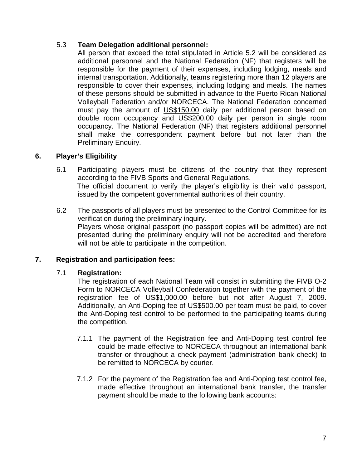# 5.3 **Team Delegation additional personnel:**

 All person that exceed the total stipulated in Article 5.2 will be considered as additional personnel and the National Federation (NF) that registers will be responsible for the payment of their expenses, including lodging, meals and internal transportation. Additionally, teams registering more than 12 players are responsible to cover their expenses, including lodging and meals. The names of these persons should be submitted in advance to the Puerto Rican National Volleyball Federation and/or NORCECA. The National Federation concerned must pay the amount of US\$150.00 daily per additional person based on double room occupancy and US\$200.00 daily per person in single room occupancy. The National Federation (NF) that registers additional personnel shall make the correspondent payment before but not later than the Preliminary Enquiry.

# **6. Player's Eligibility**

- 6.1 Participating players must be citizens of the country that they represent according to the FIVB Sports and General Regulations. The official document to verify the player's eligibility is their valid passport, issued by the competent governmental authorities of their country.
- 6.2 The passports of all players must be presented to the Control Committee for its verification during the preliminary inquiry. Players whose original passport (no passport copies will be admitted) are not presented during the preliminary enquiry will not be accredited and therefore will not be able to participate in the competition.

# **7. Registration and participation fees:**

# 7.1 **Registration:**

 The registration of each National Team will consist in submitting the FIVB O-2 Form to NORCECA Volleyball Confederation together with the payment of the registration fee of US\$1,000.00 before but not after August 7, 2009. Additionally, an Anti-Doping fee of US\$500.00 per team must be paid, to cover the Anti-Doping test control to be performed to the participating teams during the competition.

- 7.1.1 The payment of the Registration fee and Anti-Doping test control fee could be made effective to NORCECA throughout an international bank transfer or throughout a check payment (administration bank check) to be remitted to NORCECA by courier.
- 7.1.2 For the payment of the Registration fee and Anti-Doping test control fee, made effective throughout an international bank transfer, the transfer payment should be made to the following bank accounts: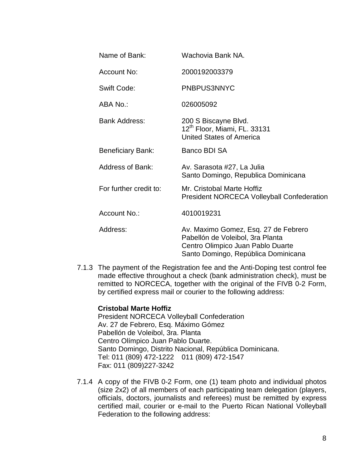| Name of Bank:            | Wachovia Bank NA.                                                                                                                                    |
|--------------------------|------------------------------------------------------------------------------------------------------------------------------------------------------|
| Account No:              | 2000192003379                                                                                                                                        |
| Swift Code:              | PNBPUS3NNYC                                                                                                                                          |
| ABA No.:                 | 026005092                                                                                                                                            |
| <b>Bank Address:</b>     | 200 S Biscayne Blvd.<br>12 <sup>th</sup> Floor, Miami, FL. 33131<br><b>United States of America</b>                                                  |
| <b>Beneficiary Bank:</b> | <b>Banco BDI SA</b>                                                                                                                                  |
| <b>Address of Bank:</b>  | Av. Sarasota #27, La Julia<br>Santo Domingo, Republica Dominicana                                                                                    |
| For further credit to:   | Mr. Cristobal Marte Hoffiz<br><b>President NORCECA Volleyball Confederation</b>                                                                      |
| Account No.:             | 4010019231                                                                                                                                           |
| Address:                 | Av. Maximo Gomez, Esq. 27 de Febrero<br>Pabellón de Voleibol, 3ra Planta<br>Centro Olimpico Juan Pablo Duarte<br>Santo Domingo, República Dominicana |

7.1.3 The payment of the Registration fee and the Anti-Doping test control fee made effective throughout a check (bank administration check), must be remitted to NORCECA, together with the original of the FIVB 0-2 Form, by certified express mail or courier to the following address:

# **Cristobal Marte Hoffiz**

 President NORCECA Volleyball Confederation Av. 27 de Febrero, Esq. Máximo Gómez Pabellón de Voleibol, 3ra. Planta Centro Olímpico Juan Pablo Duarte. Santo Domingo, Distrito Nacional, República Dominicana. Tel: 011 (809) 472-1222 011 (809) 472-1547 Fax: 011 (809)227-3242

7.1.4 A copy of the FIVB 0-2 Form, one (1) team photo and individual photos (size 2x2) of all members of each participating team delegation (players, officials, doctors, journalists and referees) must be remitted by express certified mail, courier or e-mail to the Puerto Rican National Volleyball Federation to the following address: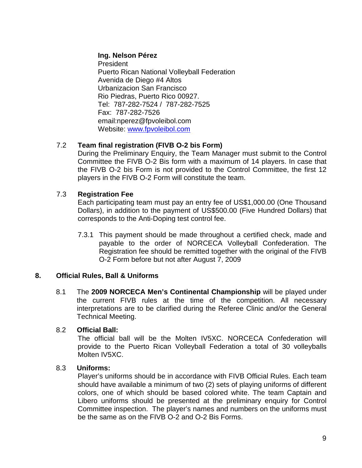# **Ing. Nelson Pérez**

President Puerto Rican National Volleyball Federation Avenida de Diego #4 Altos Urbanizacion San Francisco Rio Piedras, Puerto Rico 00927. Tel: 787-282-7524 / 787-282-7525 Fax: 787-282-7526 email:nperez@fpvoleibol.com Website: www.fpvoleibol.com

# 7.2 **Team final registration (FIVB O-2 bis Form)**

 During the Preliminary Enquiry, the Team Manager must submit to the Control Committee the FIVB O-2 Bis form with a maximum of 14 players. In case that the FIVB O-2 bis Form is not provided to the Control Committee, the first 12 players in the FIVB O-2 Form will constitute the team.

# 7.3 **Registration Fee**

 Each participating team must pay an entry fee of US\$1,000.00 (One Thousand Dollars), in addition to the payment of US\$500.00 (Five Hundred Dollars) that corresponds to the Anti-Doping test control fee.

7.3.1 This payment should be made throughout a certified check, made and payable to the order of NORCECA Volleyball Confederation. The Registration fee should be remitted together with the original of the FIVB O-2 Form before but not after August 7, 2009

# **8. Official Rules, Ball & Uniforms**

8.1 The **2009 NORCECA Men's Continental Championship** will be played under the current FIVB rules at the time of the competition. All necessary interpretations are to be clarified during the Referee Clinic and/or the General Technical Meeting.

# 8.2 **Official Ball:**

The official ball will be the Molten IV5XC. NORCECA Confederation will provide to the Puerto Rican Volleyball Federation a total of 30 volleyballs Molten IV5XC.

# 8.3 **Uniforms:**

Player's uniforms should be in accordance with FIVB Official Rules. Each team should have available a minimum of two (2) sets of playing uniforms of different colors, one of which should be based colored white. The team Captain and Libero uniforms should be presented at the preliminary enquiry for Control Committee inspection. The player's names and numbers on the uniforms must be the same as on the FIVB O-2 and O-2 Bis Forms.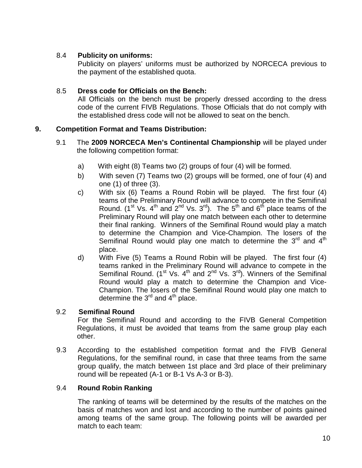# 8.4 **Publicity on uniforms:**

 Publicity on players' uniforms must be authorized by NORCECA previous to the payment of the established quota.

# 8.5 **Dress code for Officials on the Bench:**

 All Officials on the bench must be properly dressed according to the dress code of the current FIVB Regulations. Those Officials that do not comply with the established dress code will not be allowed to seat on the bench.

# **9. Competition Format and Teams Distribution:**

- 9.1 The **2009 NORCECA Men's Continental Championship** will be played under the following competition format:
	- a) With eight (8) Teams two (2) groups of four (4) will be formed.
	- b) With seven (7) Teams two (2) groups will be formed, one of four (4) and one (1) of three (3).
	- c) With six (6) Teams a Round Robin will be played. The first four (4) teams of the Preliminary Round will advance to compete in the Semifinal Round. (1<sup>st</sup> Vs. 4<sup>th</sup> and  $2^{nd}$  Vs. 3<sup>rd</sup>). The 5<sup>th</sup> and 6<sup>th</sup> place teams of the Preliminary Round will play one match between each other to determine their final ranking. Winners of the Semifinal Round would play a match to determine the Champion and Vice-Champion. The losers of the Semifinal Round would play one match to determine the  $3<sup>rd</sup>$  and  $4<sup>th</sup>$ place.
	- d) With Five (5) Teams a Round Robin will be played. The first four (4) teams ranked in the Preliminary Round will advance to compete in the Semifinal Round.  $(1^{\text{st}}$  Vs.  $4^{\text{th}}$  and  $2^{\text{nd}}$  Vs.  $3^{\text{rd}}$ ). Winners of the Semifinal Round would play a match to determine the Champion and Vice-Champion. The losers of the Semifinal Round would play one match to determine the  $3<sup>rd</sup>$  and  $4<sup>th</sup>$  place.

# 9.2 **Semifinal Round**

For the Semifinal Round and according to the FIVB General Competition Regulations, it must be avoided that teams from the same group play each other.

9.3 According to the established competition format and the FIVB General Regulations, for the semifinal round, in case that three teams from the same group qualify, the match between 1st place and 3rd place of their preliminary round will be repeated (A-1 or B-1 Vs A-3 or B-3).

# 9.4 **Round Robin Ranking**

The ranking of teams will be determined by the results of the matches on the basis of matches won and lost and according to the number of points gained among teams of the same group. The following points will be awarded per match to each team: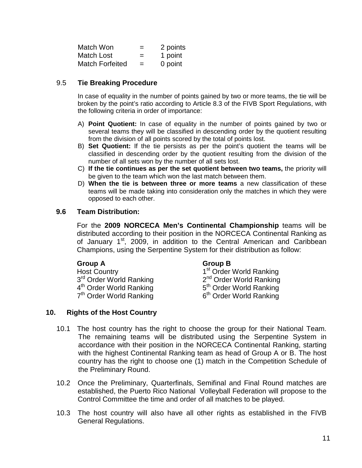| Match Won              | $=$ | 2 points |
|------------------------|-----|----------|
| Match Lost             | $=$ | 1 point  |
| <b>Match Forfeited</b> | $=$ | 0 point  |

# 9.5 **Tie Breaking Procedure**

In case of equality in the number of points gained by two or more teams, the tie will be broken by the point's ratio according to Article 8.3 of the FIVB Sport Regulations, with the following criteria in order of importance:

- A) **Point Quotient:** In case of equality in the number of points gained by two or several teams they will be classified in descending order by the quotient resulting from the division of all points scored by the total of points lost.
- B) **Set Quotient:** If the tie persists as per the point's quotient the teams will be classified in descending order by the quotient resulting from the division of the number of all sets won by the number of all sets lost.
- C) **If the tie continues as per the set quotient between two teams,** the priority will be given to the team which won the last match between them.
- D) **When the tie is between three or more teams** a new classification of these teams will be made taking into consideration only the matches in which they were opposed to each other.

# **9.6 Team Distribution:**

For the **2009 NORCECA Men's Continental Championship** teams will be distributed according to their position in the NORCECA Continental Ranking as of January 1<sup>st</sup>, 2009, in addition to the Central American and Caribbean Champions, using the Serpentine System for their distribution as follow:

Host Country 1<sup>st</sup> Order World Ranking 3<sup>rd</sup> Order World Ranking 4<sup>th</sup> Order World Ranking  $7<sup>th</sup>$  Order World Ranking  $6<sup>th</sup>$  Order World Ranking

# **Group A Group B**

2<sup>nd</sup> Order World Ranking 5<sup>th</sup> Order World Ranking

# **10. Rights of the Host Country**

- 10.1 The host country has the right to choose the group for their National Team. The remaining teams will be distributed using the Serpentine System in accordance with their position in the NORCECA Continental Ranking, starting with the highest Continental Ranking team as head of Group A or B. The host country has the right to choose one (1) match in the Competition Schedule of the Preliminary Round.
- 10.2 Once the Preliminary, Quarterfinals, Semifinal and Final Round matches are established, the Puerto Rico National Volleyball Federation will propose to the Control Committee the time and order of all matches to be played.
- 10.3 The host country will also have all other rights as established in the FIVB General Regulations.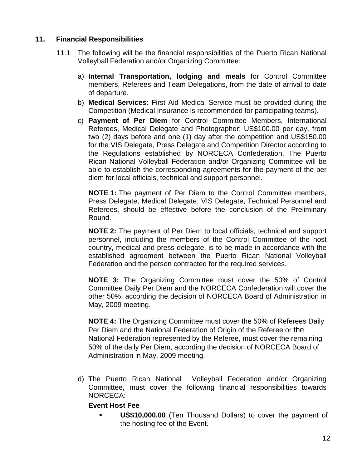# **11. Financial Responsibilities**

- 11.1 The following will be the financial responsibilities of the Puerto Rican National Volleyball Federation and/or Organizing Committee:
	- a) **Internal Transportation, lodging and meals** for Control Committee members, Referees and Team Delegations, from the date of arrival to date of departure.
	- b) **Medical Services:** First Aid Medical Service must be provided during the Competition (Medical Insurance is recommended for participating teams).
	- c) **Payment of Per Diem** for Control Committee Members, International Referees, Medical Delegate and Photographer: US\$100.00 per day, from two (2) days before and one (1) day after the competition and US\$150.00 for the VIS Delegate, Press Delegate and Competition Director according to the Regulations established by NORCECA Confederation. The Puerto Rican National Volleyball Federation and/or Organizing Committee will be able to establish the corresponding agreements for the payment of the per diem for local officials, technical and support personnel.

**NOTE 1:** The payment of Per Diem to the Control Committee members, Press Delegate, Medical Delegate, VIS Delegate, Technical Personnel and Referees, should be effective before the conclusion of the Preliminary Round.

**NOTE 2:** The payment of Per Diem to local officials, technical and support personnel, including the members of the Control Committee of the host country, medical and press delegate, is to be made in accordance with the established agreement between the Puerto Rican National Volleyball Federation and the person contracted for the required services.

**NOTE 3:** The Organizing Committee must cover the 50% of Control Committee Daily Per Diem and the NORCECA Confederation will cover the other 50%, according the decision of NORCECA Board of Administration in May, 2009 meeting.

**NOTE 4:** The Organizing Committee must cover the 50% of Referees Daily Per Diem and the National Federation of Origin of the Referee or the National Federation represented by the Referee, must cover the remaining 50% of the daily Per Diem, according the decision of NORCECA Board of Administration in May, 2009 meeting.

d) The Puerto Rican National Volleyball Federation and/or Organizing Committee, must cover the following financial responsibilities towards NORCECA:

# **Event Host Fee**

 **US\$10,000.00** (Ten Thousand Dollars) to cover the payment of the hosting fee of the Event.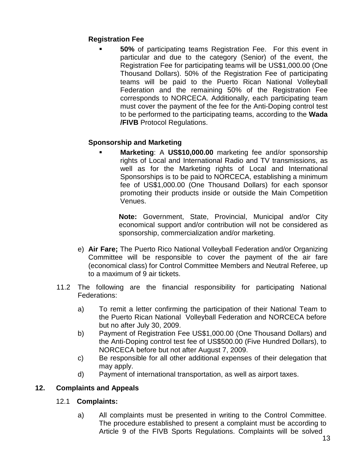# **Registration Fee**

 **50%** of participating teams Registration Fee. For this event in particular and due to the category (Senior) of the event, the Registration Fee for participating teams will be US\$1,000.00 (One Thousand Dollars). 50% of the Registration Fee of participating teams will be paid to the Puerto Rican National Volleyball Federation and the remaining 50% of the Registration Fee corresponds to NORCECA. Additionally, each participating team must cover the payment of the fee for the Anti-Doping control test to be performed to the participating teams, according to the **Wada /FIVB** Protocol Regulations.

# **Sponsorship and Marketing**

 **Marketing**: A **US\$10,000.00** marketing fee and/or sponsorship rights of Local and International Radio and TV transmissions, as well as for the Marketing rights of Local and International Sponsorships is to be paid to NORCECA, establishing a minimum fee of US\$1,000.00 (One Thousand Dollars) for each sponsor promoting their products inside or outside the Main Competition Venues.

**Note:** Government, State, Provincial, Municipal and/or City economical support and/or contribution will not be considered as sponsorship, commercialization and/or marketing.

- e) **Air Fare;** The Puerto Rico National Volleyball Federation and/or Organizing Committee will be responsible to cover the payment of the air fare (economical class) for Control Committee Members and Neutral Referee, up to a maximum of 9 air tickets.
- 11.2 The following are the financial responsibility for participating National Federations:
	- a) To remit a letter confirming the participation of their National Team to the Puerto Rican National Volleyball Federation and NORCECA before but no after July 30, 2009.
	- b) Payment of Registration Fee US\$1,000.00 (One Thousand Dollars) and the Anti-Doping control test fee of US\$500.00 (Five Hundred Dollars), to NORCECA before but not after August 7, 2009.
	- c) Be responsible for all other additional expenses of their delegation that may apply.
	- d) Payment of international transportation, as well as airport taxes.

# **12. Complaints and Appeals**

# 12.1 **Complaints:**

a) All complaints must be presented in writing to the Control Committee. The procedure established to present a complaint must be according to Article 9 of the FIVB Sports Regulations. Complaints will be solved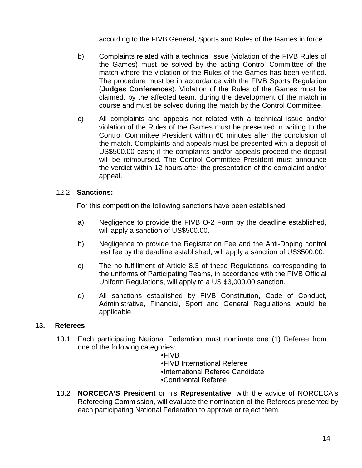according to the FIVB General, Sports and Rules of the Games in force.

- b) Complaints related with a technical issue (violation of the FIVB Rules of the Games) must be solved by the acting Control Committee of the match where the violation of the Rules of the Games has been verified. The procedure must be in accordance with the FIVB Sports Regulation (**Judges Conferences**). Violation of the Rules of the Games must be claimed, by the affected team, during the development of the match in course and must be solved during the match by the Control Committee.
- c) All complaints and appeals not related with a technical issue and/or violation of the Rules of the Games must be presented in writing to the Control Committee President within 60 minutes after the conclusion of the match. Complaints and appeals must be presented with a deposit of US\$500.00 cash; if the complaints and/or appeals proceed the deposit will be reimbursed. The Control Committee President must announce the verdict within 12 hours after the presentation of the complaint and/or appeal.

# 12.2 **Sanctions:**

For this competition the following sanctions have been established:

- a) Negligence to provide the FIVB O-2 Form by the deadline established, will apply a sanction of US\$500.00.
- b) Negligence to provide the Registration Fee and the Anti-Doping control test fee by the deadline established, will apply a sanction of US\$500.00.
- c) The no fulfillment of Article 8.3 of these Regulations, corresponding to the uniforms of Participating Teams, in accordance with the FIVB Official Uniform Regulations, will apply to a US \$3,000.00 sanction.
- d) All sanctions established by FIVB Constitution, Code of Conduct, Administrative, Financial, Sport and General Regulations would be applicable.

# **13. Referees**

13.1 Each participating National Federation must nominate one (1) Referee from one of the following categories:

 •FIVB •FIVB International Referee •International Referee Candidate •Continental Referee

13.2 **NORCECA'S President** or his **Representative**, with the advice of NORCECA's Refereeing Commission, will evaluate the nomination of the Referees presented by each participating National Federation to approve or reject them.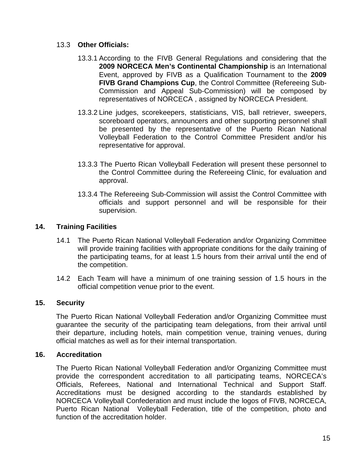# 13.3 **Other Officials:**

- 13.3.1 According to the FIVB General Regulations and considering that the **2009 NORCECA Men's Continental Championship** is an International Event, approved by FIVB as a Qualification Tournament to the **2009 FIVB Grand Champions Cup**, the Control Committee (Refereeing Sub-Commission and Appeal Sub-Commission) will be composed by representatives of NORCECA , assigned by NORCECA President.
- 13.3.2 Line judges, scorekeepers, statisticians, VIS, ball retriever, sweepers, scoreboard operators, announcers and other supporting personnel shall be presented by the representative of the Puerto Rican National Volleyball Federation to the Control Committee President and/or his representative for approval.
- 13.3.3 The Puerto Rican Volleyball Federation will present these personnel to the Control Committee during the Refereeing Clinic, for evaluation and approval.
- 13.3.4 The Refereeing Sub-Commission will assist the Control Committee with officials and support personnel and will be responsible for their supervision.

# **14. Training Facilities**

- 14.1 The Puerto Rican National Volleyball Federation and/or Organizing Committee will provide training facilities with appropriate conditions for the daily training of the participating teams, for at least 1.5 hours from their arrival until the end of the competition.
- 14.2 Each Team will have a minimum of one training session of 1.5 hours in the official competition venue prior to the event.

# **15. Security**

The Puerto Rican National Volleyball Federation and/or Organizing Committee must guarantee the security of the participating team delegations, from their arrival until their departure, including hotels, main competition venue, training venues, during official matches as well as for their internal transportation.

# **16. Accreditation**

The Puerto Rican National Volleyball Federation and/or Organizing Committee must provide the correspondent accreditation to all participating teams, NORCECA's Officials, Referees, National and International Technical and Support Staff. Accreditations must be designed according to the standards established by NORCECA Volleyball Confederation and must include the logos of FIVB, NORCECA, Puerto Rican National Volleyball Federation, title of the competition, photo and function of the accreditation holder.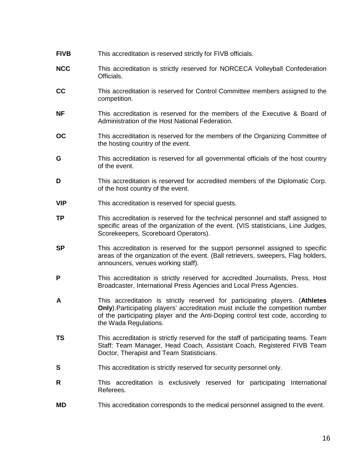**NCC** This accreditation is strictly reserved for NORCECA Volleyball Confederation Officials. **CC** This accreditation is reserved for Control Committee members assigned to the competition. **NF** This accreditation is reserved for the members of the Executive & Board of Administration of the Host National Federation. **OC** This accreditation is reserved for the members of the Organizing Committee of the hosting country of the event. **G** This accreditation is reserved for all governmental officials of the host country of the event. **D** This accreditation is reserved for accredited members of the Diplomatic Corp. of the host country of the event. **VIP** This accreditation is reserved for special quests. **TP** This accreditation is reserved for the technical personnel and staff assigned to specific areas of the organization of the event. (VIS statisticians, Line Judges, Scorekeepers, Scoreboard Operators). **SP** This accreditation is reserved for the support personnel assigned to specific areas of the organization of the event. (Ball retrievers, sweepers, Flag holders, announcers, venues working staff). **P** This accreditation is strictly reserved for accredited Journalists, Press, Host Broadcaster, International Press Agencies and Local Press Agencies. **A** This accreditation is strictly reserved for participating players. (**Athletes Only**).Participating players' accreditation must include the competition number of the participating player and the Anti-Doping control test code, according to the Wada Regulations. **TS** This accreditation is strictly reserved for the staff of participating teams. Team Staff: Team Manager, Head Coach, Assistant Coach, Registered FIVB Team Doctor, Therapist and Team Statisticians. **S** This accreditation is strictly reserved for security personnel only. **R** This accreditation is exclusively reserved for participating International Referees. **MD** This accreditation corresponds to the medical personnel assigned to the event.

**FIVB** This accreditation is reserved strictly for FIVB officials.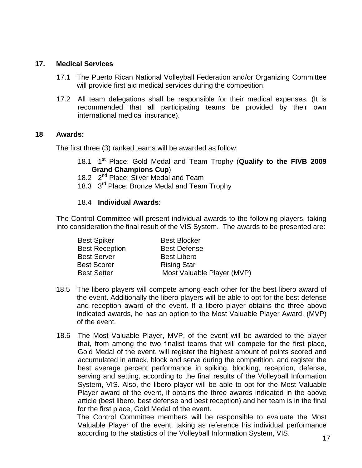#### **17. Medical Services**

- 17.1 The Puerto Rican National Volleyball Federation and/or Organizing Committee will provide first aid medical services during the competition.
- 17.2 All team delegations shall be responsible for their medical expenses. (It is recommended that all participating teams be provided by their own international medical insurance).

#### **18 Awards:**

The first three (3) ranked teams will be awarded as follow:

- 18.1 1st Place: Gold Medal and Team Trophy (**Qualify to the FIVB 2009 Grand Champions Cup**)
- 18.2 2<sup>nd</sup> Place: Silver Medal and Team
- 18.3 3<sup>rd</sup> Place: Bronze Medal and Team Trophy

#### 18.4 **Individual Awards**:

The Control Committee will present individual awards to the following players, taking into consideration the final result of the VIS System. The awards to be presented are:

| <b>Best Spiker</b>    | <b>Best Blocker</b>        |
|-----------------------|----------------------------|
| <b>Best Reception</b> | <b>Best Defense</b>        |
| <b>Best Server</b>    | <b>Best Libero</b>         |
| <b>Best Scorer</b>    | <b>Rising Star</b>         |
| <b>Best Setter</b>    | Most Valuable Player (MVP) |

- 18.5 The libero players will compete among each other for the best libero award of the event. Additionally the libero players will be able to opt for the best defense and reception award of the event. If a libero player obtains the three above indicated awards, he has an option to the Most Valuable Player Award, (MVP) of the event.
- 18.6 The Most Valuable Player, MVP, of the event will be awarded to the player that, from among the two finalist teams that will compete for the first place, Gold Medal of the event, will register the highest amount of points scored and accumulated in attack, block and serve during the competition, and register the best average percent performance in spiking, blocking, reception, defense, serving and setting, according to the final results of the Volleyball Information System, VIS. Also, the libero player will be able to opt for the Most Valuable Player award of the event, if obtains the three awards indicated in the above article (best libero, best defense and best reception) and her team is in the final for the first place, Gold Medal of the event.

The Control Committee members will be responsible to evaluate the Most Valuable Player of the event, taking as reference his individual performance according to the statistics of the Volleyball Information System, VIS.